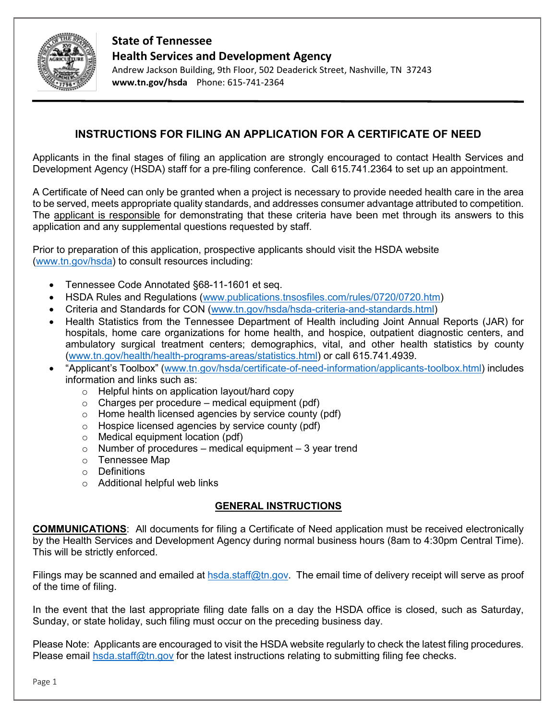

## **State of Tennessee Health Services and Development Agency**

Andrew Jackson Building, 9th Floor, 502 Deaderick Street, Nashville, TN 37243 **www.tn.gov/hsda** Phone: 615-741-2364

# **INSTRUCTIONS FOR FILING AN APPLICATION FOR A CERTIFICATE OF NEED**

Applicants in the final stages of filing an application are strongly encouraged to contact Health Services and Development Agency (HSDA) staff for a pre-filing conference. Call 615.741.2364 to set up an appointment.

A Certificate of Need can only be granted when a project is necessary to provide needed health care in the area to be served, meets appropriate quality standards, and addresses consumer advantage attributed to competition. The applicant is responsible for demonstrating that these criteria have been met through its answers to this application and any supplemental questions requested by staff.

Prior to preparation of this application, prospective applicants should visit the HSDA website [\(www.tn.gov/hsda\)](http://www.tn.gov/hsda) to consult resources including:

- Tennessee Code Annotated §68-11-1601 et seq.
- HSDA Rules and Regulations [\(www.publications.tnsosfiles.com/rules/0720/0720.htm\)](http://www.publications.tnsosfiles.com/rules/0720/0720.htm)
- Criteria and Standards for CON [\(www.tn.gov/hsda/hsda-criteria-and-standards.html\)](http://www.tn.gov/hsda/hsda-criteria-and-standards.html)
- Health Statistics from the Tennessee Department of Health including Joint Annual Reports (JAR) for hospitals, home care organizations for home health, and hospice, outpatient diagnostic centers, and ambulatory surgical treatment centers; demographics, vital, and other health statistics by county [\(www.tn.gov/health/health-programs-areas/statistics.html\)](http://www.tn.gov/health/health-programs-areas/statistics.html) or call 615.741.4939.
- "Applicant's Toolbox" [\(www.tn.gov/hsda/certificate-of-need-information/applicants-toolbox.html\)](http://www.tn.gov/hsda/certificate-of-need-information/applicants-toolbox.html) includes information and links such as:
	- o Helpful hints on application layout/hard copy
	- $\circ$  Charges per procedure medical equipment (pdf)
	- o Home health licensed agencies by service county (pdf)
	- o Hospice licensed agencies by service county (pdf)
	- o Medical equipment location (pdf)
	- $\circ$  Number of procedures medical equipment 3 year trend
	- o Tennessee Map
	- o Definitions
	- o Additional helpful web links

#### **GENERAL INSTRUCTIONS**

**COMMUNICATIONS**: All documents for filing a Certificate of Need application must be received electronically by the Health Services and Development Agency during normal business hours (8am to 4:30pm Central Time). This will be strictly enforced.

Filings may be scanned and emailed at [hsda.staff@tn.gov.](mailto:hsda.staff@tn.gov) The email time of delivery receipt will serve as proof of the time of filing.

In the event that the last appropriate filing date falls on a day the HSDA office is closed, such as Saturday, Sunday, or state holiday, such filing must occur on the preceding business day.

Please Note: Applicants are encouraged to visit the HSDA website regularly to check the latest filing procedures. Please email [hsda.staff@tn.gov](mailto:hsda.staff@tn.gov) for the latest instructions relating to submitting filing fee checks.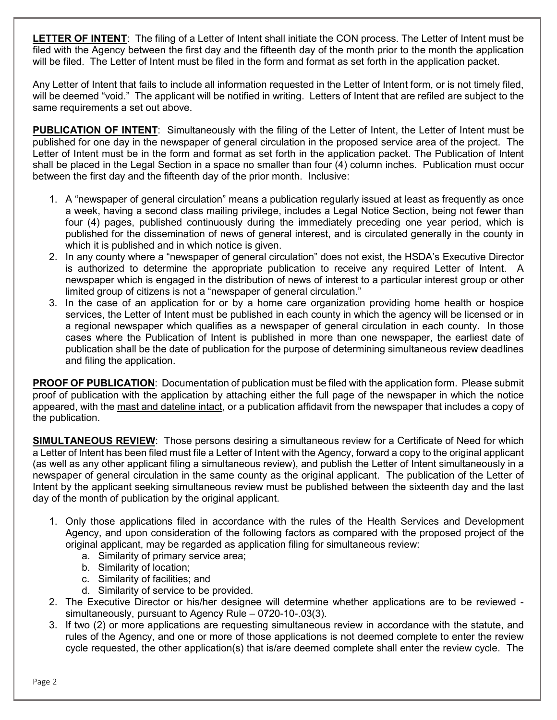**LETTER OF INTENT**: The filing of a Letter of Intent shall initiate the CON process. The Letter of Intent must be filed with the Agency between the first day and the fifteenth day of the month prior to the month the application will be filed. The Letter of Intent must be filed in the form and format as set forth in the application packet.

Any Letter of Intent that fails to include all information requested in the Letter of Intent form, or is not timely filed, will be deemed "void." The applicant will be notified in writing. Letters of Intent that are refiled are subject to the same requirements a set out above.

**PUBLICATION OF INTENT:** Simultaneously with the filing of the Letter of Intent, the Letter of Intent must be published for one day in the newspaper of general circulation in the proposed service area of the project. The Letter of Intent must be in the form and format as set forth in the application packet. The Publication of Intent shall be placed in the Legal Section in a space no smaller than four (4) column inches. Publication must occur between the first day and the fifteenth day of the prior month. Inclusive:

- 1. A "newspaper of general circulation" means a publication regularly issued at least as frequently as once a week, having a second class mailing privilege, includes a Legal Notice Section, being not fewer than four (4) pages, published continuously during the immediately preceding one year period, which is published for the dissemination of news of general interest, and is circulated generally in the county in which it is published and in which notice is given.
- 2. In any county where a "newspaper of general circulation" does not exist, the HSDA's Executive Director is authorized to determine the appropriate publication to receive any required Letter of Intent. A newspaper which is engaged in the distribution of news of interest to a particular interest group or other limited group of citizens is not a "newspaper of general circulation."
- 3. In the case of an application for or by a home care organization providing home health or hospice services, the Letter of Intent must be published in each county in which the agency will be licensed or in a regional newspaper which qualifies as a newspaper of general circulation in each county. In those cases where the Publication of Intent is published in more than one newspaper, the earliest date of publication shall be the date of publication for the purpose of determining simultaneous review deadlines and filing the application.

**PROOF OF PUBLICATION**: Documentation of publication must be filed with the application form. Please submit proof of publication with the application by attaching either the full page of the newspaper in which the notice appeared, with the mast and dateline intact, or a publication affidavit from the newspaper that includes a copy of the publication.

**SIMULTANEOUS REVIEW**: Those persons desiring a simultaneous review for a Certificate of Need for which a Letter of Intent has been filed must file a Letter of Intent with the Agency, forward a copy to the original applicant (as well as any other applicant filing a simultaneous review), and publish the Letter of Intent simultaneously in a newspaper of general circulation in the same county as the original applicant. The publication of the Letter of Intent by the applicant seeking simultaneous review must be published between the sixteenth day and the last day of the month of publication by the original applicant.

- 1. Only those applications filed in accordance with the rules of the Health Services and Development Agency, and upon consideration of the following factors as compared with the proposed project of the original applicant, may be regarded as application filing for simultaneous review:
	- a. Similarity of primary service area;
	- b. Similarity of location;
	- c. Similarity of facilities; and
	- d. Similarity of service to be provided.
- 2. The Executive Director or his/her designee will determine whether applications are to be reviewed simultaneously, pursuant to Agency Rule – 0720-10-.03(3).
- 3. If two (2) or more applications are requesting simultaneous review in accordance with the statute, and rules of the Agency, and one or more of those applications is not deemed complete to enter the review cycle requested, the other application(s) that is/are deemed complete shall enter the review cycle. The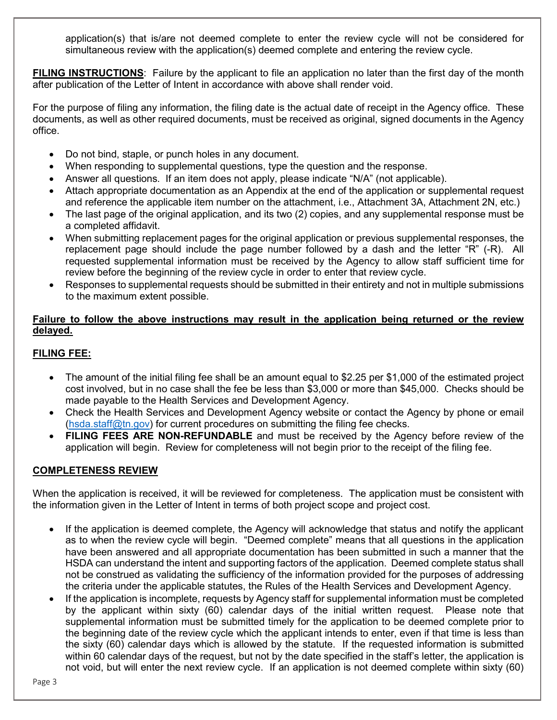application(s) that is/are not deemed complete to enter the review cycle will not be considered for simultaneous review with the application(s) deemed complete and entering the review cycle.

**FILING INSTRUCTIONS**: Failure by the applicant to file an application no later than the first day of the month after publication of the Letter of Intent in accordance with above shall render void.

For the purpose of filing any information, the filing date is the actual date of receipt in the Agency office. These documents, as well as other required documents, must be received as original, signed documents in the Agency office.

- Do not bind, staple, or punch holes in any document.
- When responding to supplemental questions, type the question and the response.
- Answer all questions. If an item does not apply, please indicate "N/A" (not applicable).
- Attach appropriate documentation as an Appendix at the end of the application or supplemental request and reference the applicable item number on the attachment, i.e., Attachment 3A, Attachment 2N, etc.)
- The last page of the original application, and its two (2) copies, and any supplemental response must be a completed affidavit.
- When submitting replacement pages for the original application or previous supplemental responses, the replacement page should include the page number followed by a dash and the letter "R" (-R). All requested supplemental information must be received by the Agency to allow staff sufficient time for review before the beginning of the review cycle in order to enter that review cycle.
- Responses to supplemental requests should be submitted in their entirety and not in multiple submissions to the maximum extent possible.

### **Failure to follow the above instructions may result in the application being returned or the review delayed.**

### **FILING FEE:**

- The amount of the initial filing fee shall be an amount equal to \$2.25 per \$1,000 of the estimated project cost involved, but in no case shall the fee be less than \$3,000 or more than \$45,000. Checks should be made payable to the Health Services and Development Agency.
- Check the Health Services and Development Agency website or contact the Agency by phone or email [\(hsda.staff@tn.gov\)](mailto:hsda.staff@tn.gov) for current procedures on submitting the filing fee checks.
- **FILING FEES ARE NON-REFUNDABLE** and must be received by the Agency before review of the application will begin. Review for completeness will not begin prior to the receipt of the filing fee.

## **COMPLETENESS REVIEW**

When the application is received, it will be reviewed for completeness. The application must be consistent with the information given in the Letter of Intent in terms of both project scope and project cost.

- If the application is deemed complete, the Agency will acknowledge that status and notify the applicant as to when the review cycle will begin. "Deemed complete" means that all questions in the application have been answered and all appropriate documentation has been submitted in such a manner that the HSDA can understand the intent and supporting factors of the application. Deemed complete status shall not be construed as validating the sufficiency of the information provided for the purposes of addressing the criteria under the applicable statutes, the Rules of the Health Services and Development Agency.
- If the application is incomplete, requests by Agency staff for supplemental information must be completed by the applicant within sixty (60) calendar days of the initial written request. Please note that supplemental information must be submitted timely for the application to be deemed complete prior to the beginning date of the review cycle which the applicant intends to enter, even if that time is less than the sixty (60) calendar days which is allowed by the statute. If the requested information is submitted within 60 calendar days of the request, but not by the date specified in the staff's letter, the application is not void, but will enter the next review cycle. If an application is not deemed complete within sixty (60)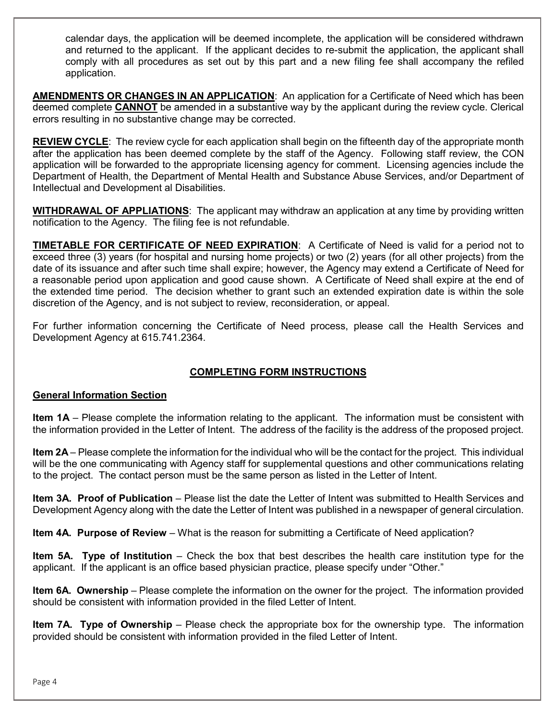calendar days, the application will be deemed incomplete, the application will be considered withdrawn and returned to the applicant. If the applicant decides to re-submit the application, the applicant shall comply with all procedures as set out by this part and a new filing fee shall accompany the refiled application.

**AMENDMENTS OR CHANGES IN AN APPLICATION**: An application for a Certificate of Need which has been deemed complete **CANNOT** be amended in a substantive way by the applicant during the review cycle. Clerical errors resulting in no substantive change may be corrected.

**REVIEW CYCLE**: The review cycle for each application shall begin on the fifteenth day of the appropriate month after the application has been deemed complete by the staff of the Agency. Following staff review, the CON application will be forwarded to the appropriate licensing agency for comment. Licensing agencies include the Department of Health, the Department of Mental Health and Substance Abuse Services, and/or Department of Intellectual and Development al Disabilities.

**WITHDRAWAL OF APPLIATIONS**: The applicant may withdraw an application at any time by providing written notification to the Agency. The filing fee is not refundable.

**TIMETABLE FOR CERTIFICATE OF NEED EXPIRATION**: A Certificate of Need is valid for a period not to exceed three (3) years (for hospital and nursing home projects) or two (2) years (for all other projects) from the date of its issuance and after such time shall expire; however, the Agency may extend a Certificate of Need for a reasonable period upon application and good cause shown. A Certificate of Need shall expire at the end of the extended time period. The decision whether to grant such an extended expiration date is within the sole discretion of the Agency, and is not subject to review, reconsideration, or appeal.

For further information concerning the Certificate of Need process, please call the Health Services and Development Agency at 615.741.2364.

# **COMPLETING FORM INSTRUCTIONS**

#### **General Information Section**

**Item 1A** – Please complete the information relating to the applicant. The information must be consistent with the information provided in the Letter of Intent. The address of the facility is the address of the proposed project.

**Item 2A** – Please complete the information for the individual who will be the contact for the project. This individual will be the one communicating with Agency staff for supplemental questions and other communications relating to the project. The contact person must be the same person as listed in the Letter of Intent.

**Item 3A. Proof of Publication** – Please list the date the Letter of Intent was submitted to Health Services and Development Agency along with the date the Letter of Intent was published in a newspaper of general circulation.

**Item 4A. Purpose of Review** – What is the reason for submitting a Certificate of Need application?

**Item 5A. Type of Institution** – Check the box that best describes the health care institution type for the applicant. If the applicant is an office based physician practice, please specify under "Other."

**Item 6A. Ownership** – Please complete the information on the owner for the project. The information provided should be consistent with information provided in the filed Letter of Intent.

**Item 7A. Type of Ownership** – Please check the appropriate box for the ownership type. The information provided should be consistent with information provided in the filed Letter of Intent.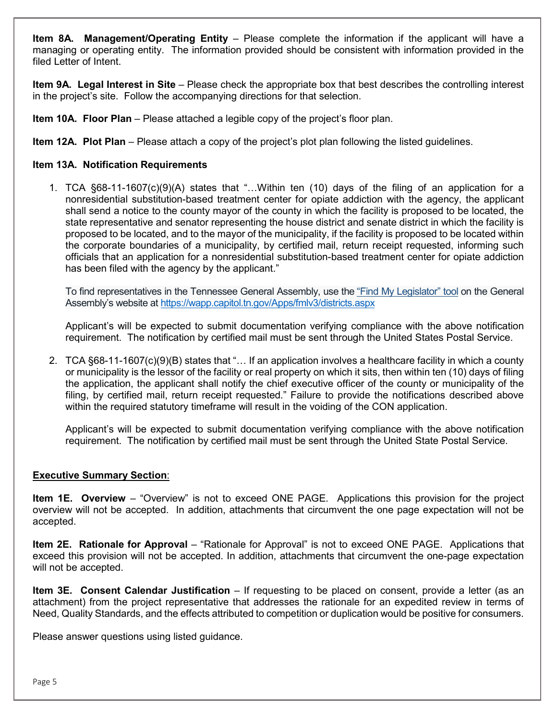**Item 8A. Management/Operating Entity** – Please complete the information if the applicant will have a managing or operating entity. The information provided should be consistent with information provided in the filed Letter of Intent.

**Item 9A. Legal Interest in Site** – Please check the appropriate box that best describes the controlling interest in the project's site. Follow the accompanying directions for that selection.

**Item 10A. Floor Plan** – Please attached a legible copy of the project's floor plan.

**Item 12A. Plot Plan** – Please attach a copy of the project's plot plan following the listed guidelines.

#### **Item 13A. Notification Requirements**

1. TCA §68-11-1607(c)(9)(A) states that "…Within ten (10) days of the filing of an application for a nonresidential substitution-based treatment center for opiate addiction with the agency, the applicant shall send a notice to the county mayor of the county in which the facility is proposed to be located, the state representative and senator representing the house district and senate district in which the facility is proposed to be located, and to the mayor of the municipality, if the facility is proposed to be located within the corporate boundaries of a municipality, by certified mail, return receipt requested, informing such officials that an application for a nonresidential substitution-based treatment center for opiate addiction has been filed with the agency by the applicant."

To find representatives in the Tennessee General Assembly, use the ["Find My Legislator" tool](http://wapp.capitol.tn.gov/Apps/fmlv3/districts.aspx) on the General Assembly's website a[t https://wapp.capitol.tn.gov/Apps/fmlv3/districts.aspx](https://wapp.capitol.tn.gov/Apps/fmlv3/districts.aspx)

Applicant's will be expected to submit documentation verifying compliance with the above notification requirement. The notification by certified mail must be sent through the United States Postal Service.

2. TCA §68-11-1607(c)(9)(B) states that "… If an application involves a healthcare facility in which a county or municipality is the lessor of the facility or real property on which it sits, then within ten (10) days of filing the application, the applicant shall notify the chief executive officer of the county or municipality of the filing, by certified mail, return receipt requested." Failure to provide the notifications described above within the required statutory timeframe will result in the voiding of the CON application.

Applicant's will be expected to submit documentation verifying compliance with the above notification requirement. The notification by certified mail must be sent through the United State Postal Service.

#### **Executive Summary Section**:

**Item 1E. Overview** – "Overview" is not to exceed ONE PAGE. Applications this provision for the project overview will not be accepted. In addition, attachments that circumvent the one page expectation will not be accepted.

**Item 2E. Rationale for Approval** – "Rationale for Approval" is not to exceed ONE PAGE. Applications that exceed this provision will not be accepted. In addition, attachments that circumvent the one-page expectation will not be accepted.

**Item 3E. Consent Calendar Justification** – If requesting to be placed on consent, provide a letter (as an attachment) from the project representative that addresses the rationale for an expedited review in terms of Need, Quality Standards, and the effects attributed to competition or duplication would be positive for consumers.

Please answer questions using listed guidance.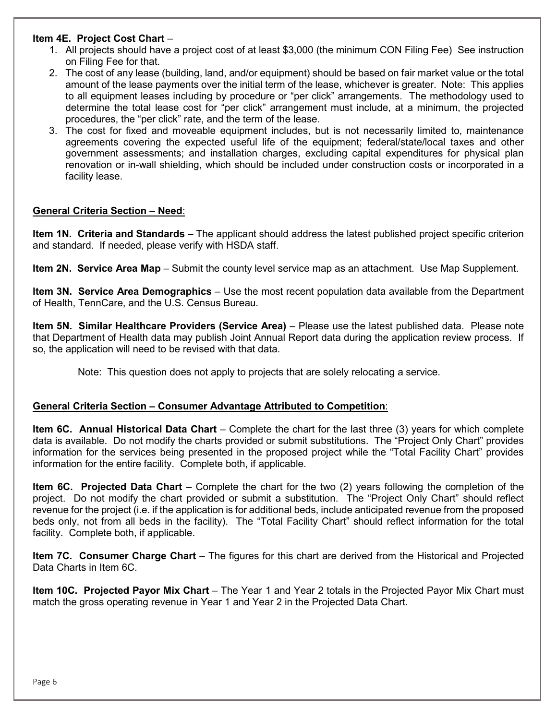#### **Item 4E. Project Cost Chart** –

- 1. All projects should have a project cost of at least \$3,000 (the minimum CON Filing Fee) See instruction on Filing Fee for that.
- 2. The cost of any lease (building, land, and/or equipment) should be based on fair market value or the total amount of the lease payments over the initial term of the lease, whichever is greater. Note: This applies to all equipment leases including by procedure or "per click" arrangements. The methodology used to determine the total lease cost for "per click" arrangement must include, at a minimum, the projected procedures, the "per click" rate, and the term of the lease.
- 3. The cost for fixed and moveable equipment includes, but is not necessarily limited to, maintenance agreements covering the expected useful life of the equipment; federal/state/local taxes and other government assessments; and installation charges, excluding capital expenditures for physical plan renovation or in-wall shielding, which should be included under construction costs or incorporated in a facility lease.

#### **General Criteria Section – Need**:

**Item 1N. Criteria and Standards –** The applicant should address the latest published project specific criterion and standard. If needed, please verify with HSDA staff.

**Item 2N. Service Area Map** – Submit the county level service map as an attachment. Use Map Supplement.

**Item 3N. Service Area Demographics** – Use the most recent population data available from the Department of Health, TennCare, and the U.S. Census Bureau.

**Item 5N. Similar Healthcare Providers (Service Area)** – Please use the latest published data. Please note that Department of Health data may publish Joint Annual Report data during the application review process. If so, the application will need to be revised with that data.

Note: This question does not apply to projects that are solely relocating a service.

#### **General Criteria Section – Consumer Advantage Attributed to Competition**:

**Item 6C. Annual Historical Data Chart** – Complete the chart for the last three (3) years for which complete data is available. Do not modify the charts provided or submit substitutions. The "Project Only Chart" provides information for the services being presented in the proposed project while the "Total Facility Chart" provides information for the entire facility. Complete both, if applicable.

**Item 6C. Projected Data Chart** – Complete the chart for the two (2) years following the completion of the project. Do not modify the chart provided or submit a substitution. The "Project Only Chart" should reflect revenue for the project (i.e. if the application is for additional beds, include anticipated revenue from the proposed beds only, not from all beds in the facility). The "Total Facility Chart" should reflect information for the total facility. Complete both, if applicable.

**Item 7C. Consumer Charge Chart** – The figures for this chart are derived from the Historical and Projected Data Charts in Item 6C.

**Item 10C. Projected Payor Mix Chart** – The Year 1 and Year 2 totals in the Projected Payor Mix Chart must match the gross operating revenue in Year 1 and Year 2 in the Projected Data Chart.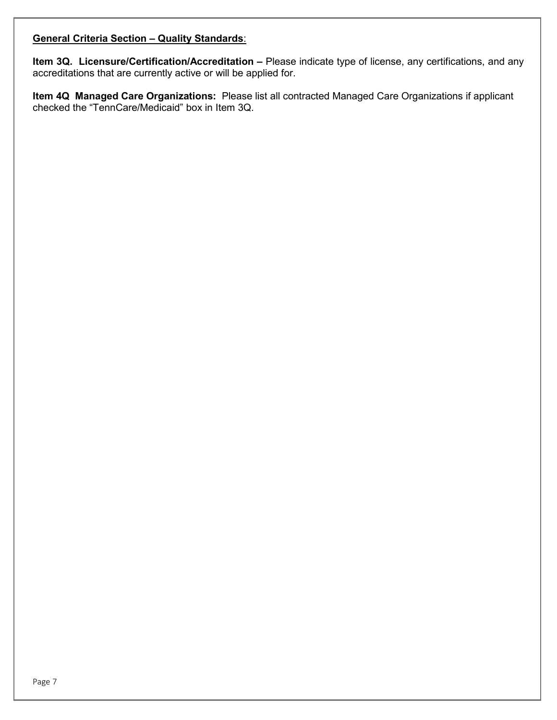## **General Criteria Section – Quality Standards**:

**Item 3Q. Licensure/Certification/Accreditation –** Please indicate type of license, any certifications, and any accreditations that are currently active or will be applied for.

**Item 4Q Managed Care Organizations:** Please list all contracted Managed Care Organizations if applicant checked the "TennCare/Medicaid" box in Item 3Q.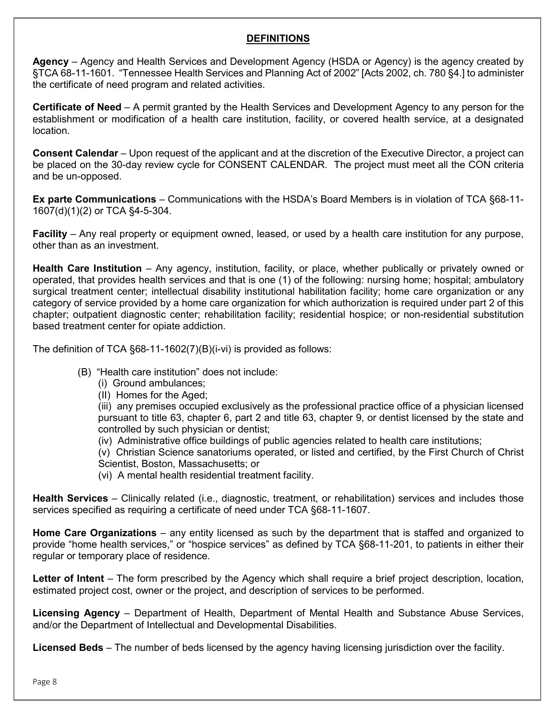### **DEFINITIONS**

**Agency** – Agency and Health Services and Development Agency (HSDA or Agency) is the agency created by §TCA 68-11-1601. "Tennessee Health Services and Planning Act of 2002" [Acts 2002, ch. 780 §4.] to administer the certificate of need program and related activities.

**Certificate of Need** – A permit granted by the Health Services and Development Agency to any person for the establishment or modification of a health care institution, facility, or covered health service, at a designated location.

**Consent Calendar** – Upon request of the applicant and at the discretion of the Executive Director, a project can be placed on the 30-day review cycle for CONSENT CALENDAR. The project must meet all the CON criteria and be un-opposed.

**Ex parte Communications** – Communications with the HSDA's Board Members is in violation of TCA §68-11- 1607(d)(1)(2) or TCA §4-5-304.

**Facility** – Any real property or equipment owned, leased, or used by a health care institution for any purpose, other than as an investment.

**Health Care Institution** – Any agency, institution, facility, or place, whether publically or privately owned or operated, that provides health services and that is one (1) of the following: nursing home; hospital; ambulatory surgical treatment center; intellectual disability institutional habilitation facility; home care organization or any category of service provided by a home care organization for which authorization is required under part 2 of this chapter; outpatient diagnostic center; rehabilitation facility; residential hospice; or non-residential substitution based treatment center for opiate addiction.

The definition of TCA §68-11-1602(7)(B)(i-vi) is provided as follows:

- (B) "Health care institution" does not include:
	- (i) Ground ambulances;
	- (II) Homes for the Aged;

(iii) any premises occupied exclusively as the professional practice office of a physician licensed pursuant to title 63, chapter 6, part 2 and title 63, chapter 9, or dentist licensed by the state and controlled by such physician or dentist;

(iv) Administrative office buildings of public agencies related to health care institutions;

(v) Christian Science sanatoriums operated, or listed and certified, by the First Church of Christ Scientist, Boston, Massachusetts; or

(vi) A mental health residential treatment facility.

**Health Services** – Clinically related (i.e., diagnostic, treatment, or rehabilitation) services and includes those services specified as requiring a certificate of need under TCA §68-11-1607.

**Home Care Organizations** – any entity licensed as such by the department that is staffed and organized to provide "home health services," or "hospice services" as defined by TCA §68-11-201, to patients in either their regular or temporary place of residence.

**Letter of Intent** – The form prescribed by the Agency which shall require a brief project description, location, estimated project cost, owner or the project, and description of services to be performed.

**Licensing Agency** – Department of Health, Department of Mental Health and Substance Abuse Services, and/or the Department of Intellectual and Developmental Disabilities.

**Licensed Beds** – The number of beds licensed by the agency having licensing jurisdiction over the facility.